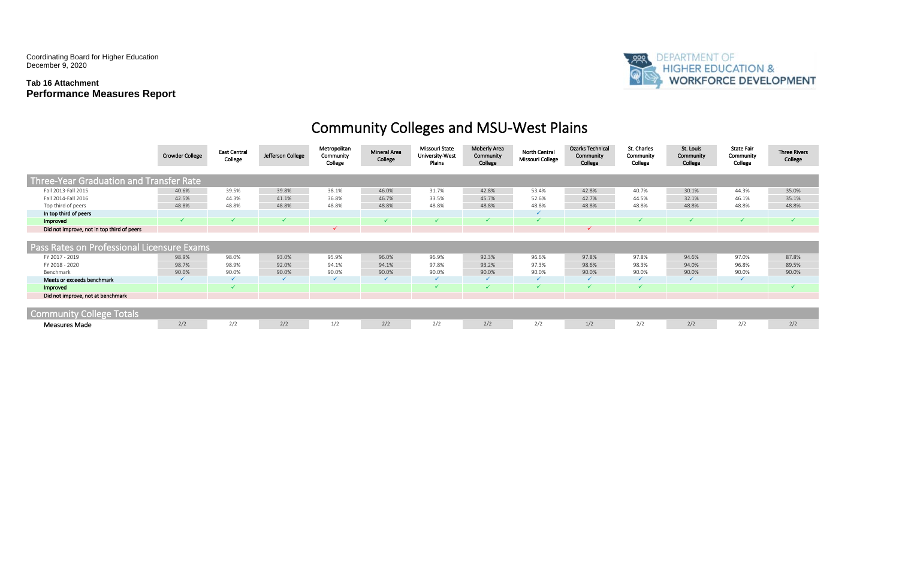Coordinating Board for Higher Education December 9, 2020

### **Tab 16 Attachment Performance Measures Report**



## Community Colleges and MSU-West Plains

# **PRANTMENT OF HIGHER EDUCATION & WORKFORCE DEVELOPMENT**

| St. Louis<br>Community<br>College | <b>State Fair</b><br>Community<br>College | <b>Three Rivers</b><br>College |  |  |  |  |
|-----------------------------------|-------------------------------------------|--------------------------------|--|--|--|--|
|                                   |                                           |                                |  |  |  |  |
|                                   |                                           |                                |  |  |  |  |
| 30.1%                             | 44.3%                                     | 35.0%                          |  |  |  |  |
| 32.1%                             | 46.1%                                     | 35.1%                          |  |  |  |  |
| 48.8%                             | 48.8%                                     | 48.8%                          |  |  |  |  |
|                                   |                                           |                                |  |  |  |  |
| $\checkmark$                      | $\checkmark$                              | ✓                              |  |  |  |  |
|                                   |                                           |                                |  |  |  |  |
|                                   |                                           |                                |  |  |  |  |
|                                   |                                           |                                |  |  |  |  |
| 94.6%                             | 97.0%                                     | 87.8%                          |  |  |  |  |
| 94.0%                             | 96.8%                                     | 89.5%                          |  |  |  |  |
| 90.0%                             | 90.0%                                     | 90.0%                          |  |  |  |  |
| ✓                                 | ✓                                         |                                |  |  |  |  |
|                                   |                                           |                                |  |  |  |  |
|                                   |                                           |                                |  |  |  |  |
|                                   |                                           |                                |  |  |  |  |
|                                   |                                           |                                |  |  |  |  |
| 2/2                               | 2/2                                       | 2/2                            |  |  |  |  |

|                                            | <b>Crowder College</b> | <b>East Central</b><br>College | Jefferson College | Metropolitan<br>Community<br>College | <b>Mineral Area</b><br>College | Missouri State<br>University-West<br>Plains | Moberly Area<br>Community<br>College | <b>North Central</b><br>Missouri College | <b>Ozarks Technical</b><br>Community<br>College | St. Charles<br>Community<br>College | St. Louis<br>Community<br>College | <b>State Fair</b><br>Community<br>College | Three Riv<br>College |
|--------------------------------------------|------------------------|--------------------------------|-------------------|--------------------------------------|--------------------------------|---------------------------------------------|--------------------------------------|------------------------------------------|-------------------------------------------------|-------------------------------------|-----------------------------------|-------------------------------------------|----------------------|
| Three-Year Graduation and Transfer Rate    |                        |                                |                   |                                      |                                |                                             |                                      |                                          |                                                 |                                     |                                   |                                           |                      |
| Fall 2013-Fall 2015                        | 40.6%                  | 39.5%                          | 39.8%             | 38.1%                                | 46.0%                          | 31.7%                                       | 42.8%                                | 53.4%                                    | 42.8%                                           | 40.7%                               | 30.1%                             | 44.3%                                     | 35.0%                |
| Fall 2014-Fall 2016                        | 42.5%                  | 44.3%                          | 41.1%             | 36.8%                                | 46.7%                          | 33.5%                                       | 45.7%                                | 52.6%                                    | 42.7%                                           | 44.5%                               | 32.1%                             | 46.1%                                     | 35.1%                |
| Top third of peers                         | 48.8%                  | 48.8%                          | 48.8%             | 48.8%                                | 48.8%                          | 48.8%                                       | 48.8%                                | 48.8%                                    | 48.8%                                           | 48.8%                               | 48.8%                             | 48.8%                                     | 48.8%                |
| In top third of peers                      |                        |                                |                   |                                      |                                |                                             |                                      |                                          |                                                 |                                     |                                   |                                           |                      |
| Improved                                   |                        |                                |                   |                                      |                                |                                             |                                      |                                          |                                                 |                                     |                                   |                                           |                      |
| Did not improve, not in top third of peers |                        |                                |                   |                                      |                                |                                             |                                      |                                          |                                                 |                                     |                                   |                                           |                      |
|                                            |                        |                                |                   |                                      |                                |                                             |                                      |                                          |                                                 |                                     |                                   |                                           |                      |
| Pass Rates on Professional Licensure Exams |                        |                                |                   |                                      |                                |                                             |                                      |                                          |                                                 |                                     |                                   |                                           |                      |
| FY 2017 - 2019                             | 98.9%                  | 98.0%                          | 93.0%             | 95.9%                                | 96.0%                          | 96.9%                                       | 92.3%                                | 96.6%                                    | 97.8%                                           | 97.8%                               | 94.6%                             | 97.0%                                     | 87.8%                |
| FY 2018 - 2020                             | 98.7%                  | 98.9%                          | 92.0%             | 94.1%                                | 94.1%                          | 97.8%                                       | 93.2%                                | 97.3%                                    | 98.6%                                           | 98.3%                               | 94.0%                             | 96.8%                                     | 89.5%                |
| Benchmark                                  | 90.0%                  | 90.0%                          | 90.0%             | 90.0%                                | 90.0%                          | 90.0%                                       | 90.0%                                | 90.0%                                    | 90.0%                                           | 90.0%                               | 90.0%                             | 90.0%                                     | 90.0%                |
| Meets or exceeds benchmark                 |                        |                                |                   |                                      |                                | $\checkmark$                                | $\checkmark$                         | $\checkmark$                             | $\checkmark$                                    | $\checkmark$                        |                                   |                                           |                      |
| Improved                                   |                        |                                |                   |                                      |                                |                                             |                                      |                                          |                                                 |                                     |                                   |                                           |                      |
| Did not improve, not at benchmark          |                        |                                |                   |                                      |                                |                                             |                                      |                                          |                                                 |                                     |                                   |                                           |                      |
|                                            |                        |                                |                   |                                      |                                |                                             |                                      |                                          |                                                 |                                     |                                   |                                           |                      |
| <b>Community College Totals</b>            |                        |                                |                   |                                      |                                |                                             |                                      |                                          |                                                 |                                     |                                   |                                           |                      |
| <b>Measures Made</b>                       | 2/2                    | 2/2                            | 2/2               | 1/2                                  | 2/2                            | 2/2                                         | 2/2                                  | 2/2                                      | 1/2                                             | 2/2                                 | 2/2                               | 2/2                                       | 2/2                  |